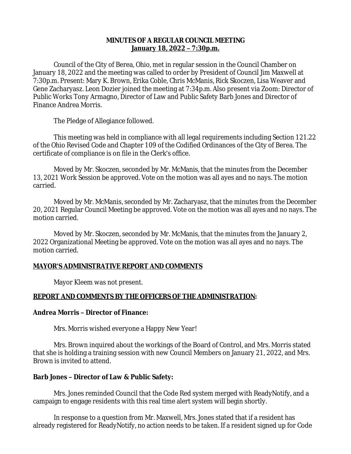# **MINUTES OF A REGULAR COUNCIL MEETING January 18, 2022 – 7:30p.m.**

Council of the City of Berea, Ohio, met in regular session in the Council Chamber on January 18, 2022 and the meeting was called to order by President of Council Jim Maxwell at 7:30p.m. Present: Mary K. Brown, Erika Coble, Chris McManis, Rick Skoczen, Lisa Weaver and Gene Zacharyasz. Leon Dozier joined the meeting at 7:34p.m. Also present via Zoom: Director of Public Works Tony Armagno, Director of Law and Public Safety Barb Jones and Director of Finance Andrea Morris.

The Pledge of Allegiance followed.

This meeting was held in compliance with all legal requirements including Section 121.22 of the Ohio Revised Code and Chapter 109 of the Codified Ordinances of the City of Berea. The certificate of compliance is on file in the Clerk's office.

Moved by Mr. Skoczen, seconded by Mr. McManis, that the minutes from the December 13, 2021 Work Session be approved. Vote on the motion was all ayes and no nays. The motion carried.

Moved by Mr. McManis, seconded by Mr. Zacharyasz, that the minutes from the December 20, 2021 Regular Council Meeting be approved. Vote on the motion was all ayes and no nays. The motion carried.

Moved by Mr. Skoczen, seconded by Mr. McManis, that the minutes from the January 2, 2022 Organizational Meeting be approved. Vote on the motion was all ayes and no nays. The motion carried.

# **MAYOR'S ADMINISTRATIVE REPORT AND COMMENTS**

Mayor Kleem was not present.

# **REPORT AND COMMENTS BY THE OFFICERS OF THE ADMINISTRATION:**

#### **Andrea Morris – Director of Finance:**

Mrs. Morris wished everyone a Happy New Year!

Mrs. Brown inquired about the workings of the Board of Control, and Mrs. Morris stated that she is holding a training session with new Council Members on January 21, 2022, and Mrs. Brown is invited to attend.

# **Barb Jones – Director of Law & Public Safety:**

Mrs. Jones reminded Council that the Code Red system merged with ReadyNotify, and a campaign to engage residents with this real time alert system will begin shortly.

In response to a question from Mr. Maxwell, Mrs. Jones stated that if a resident has already registered for ReadyNotify, no action needs to be taken. If a resident signed up for Code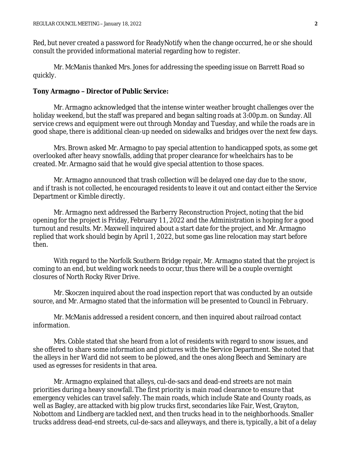Red, but never created a password for ReadyNotify when the change occurred, he or she should consult the provided informational material regarding how to register.

Mr. McManis thanked Mrs. Jones for addressing the speeding issue on Barrett Road so quickly.

#### **Tony Armagno – Director of Public Service:**

Mr. Armagno acknowledged that the intense winter weather brought challenges over the holiday weekend, but the staff was prepared and began salting roads at 3:00p.m. on Sunday. All service crews and equipment were out through Monday and Tuesday, and while the roads are in good shape, there is additional clean-up needed on sidewalks and bridges over the next few days.

Mrs. Brown asked Mr. Armagno to pay special attention to handicapped spots, as some get overlooked after heavy snowfalls, adding that proper clearance for wheelchairs has to be created. Mr. Armagno said that he would give special attention to those spaces.

Mr. Armagno announced that trash collection will be delayed one day due to the snow, and if trash is not collected, he encouraged residents to leave it out and contact either the Service Department or Kimble directly.

Mr. Armagno next addressed the Barberry Reconstruction Project, noting that the bid opening for the project is Friday, February 11, 2022 and the Administration is hoping for a good turnout and results. Mr. Maxwell inquired about a start date for the project, and Mr. Armagno replied that work should begin by April 1, 2022, but some gas line relocation may start before then.

With regard to the Norfolk Southern Bridge repair, Mr. Armagno stated that the project is coming to an end, but welding work needs to occur, thus there will be a couple overnight closures of North Rocky River Drive.

Mr. Skoczen inquired about the road inspection report that was conducted by an outside source, and Mr. Armagno stated that the information will be presented to Council in February.

Mr. McManis addressed a resident concern, and then inquired about railroad contact information.

Mrs. Coble stated that she heard from a lot of residents with regard to snow issues, and she offered to share some information and pictures with the Service Department. She noted that the alleys in her Ward did not seem to be plowed, and the ones along Beech and Seminary are used as egresses for residents in that area.

Mr. Armagno explained that alleys, cul-de-sacs and dead-end streets are not main priorities during a heavy snowfall. The first priority is main road clearance to ensure that emergency vehicles can travel safely. The main roads, which include State and County roads, as well as Bagley, are attacked with big plow trucks first, secondaries like Fair, West, Grayton, Nobottom and Lindberg are tackled next, and then trucks head in to the neighborhoods. Smaller trucks address dead-end streets, cul-de-sacs and alleyways, and there is, typically, a bit of a delay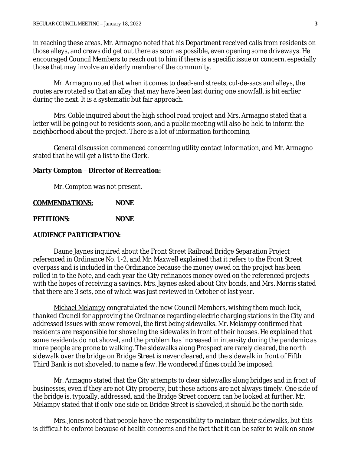in reaching these areas. Mr. Armagno noted that his Department received calls from residents on those alleys, and crews did get out there as soon as possible, even opening some driveways. He encouraged Council Members to reach out to him if there is a specific issue or concern, especially those that may involve an elderly member of the community.

Mr. Armagno noted that when it comes to dead-end streets, cul-de-sacs and alleys, the routes are rotated so that an alley that may have been last during one snowfall, is hit earlier during the next. It is a systematic but fair approach.

Mrs. Coble inquired about the high school road project and Mrs. Armagno stated that a letter will be going out to residents soon, and a public meeting will also be held to inform the neighborhood about the project. There is a lot of information forthcoming.

General discussion commenced concerning utility contact information, and Mr. Armagno stated that he will get a list to the Clerk.

### **Marty Compton – Director of Recreation:**

Mr. Compton was not present.

# **COMMENDATIONS: NONE**

**PETITIONS: NONE**

#### **AUDIENCE PARTICIPATION:**

Daune Jaynes inquired about the Front Street Railroad Bridge Separation Project referenced in Ordinance No. 1-2, and Mr. Maxwell explained that it refers to the Front Street overpass and is included in the Ordinance because the money owed on the project has been rolled in to the Note, and each year the City refinances money owed on the referenced projects with the hopes of receiving a savings. Mrs. Jaynes asked about City bonds, and Mrs. Morris stated that there are 3 sets, one of which was just reviewed in October of last year.

Michael Melampy congratulated the new Council Members, wishing them much luck, thanked Council for approving the Ordinance regarding electric charging stations in the City and addressed issues with snow removal, the first being sidewalks. Mr. Melampy confirmed that residents are responsible for shoveling the sidewalks in front of their houses. He explained that some residents do not shovel, and the problem has increased in intensity during the pandemic as more people are prone to walking. The sidewalks along Prospect are rarely cleared, the north sidewalk over the bridge on Bridge Street is never cleared, and the sidewalk in front of Fifth Third Bank is not shoveled, to name a few. He wondered if fines could be imposed.

Mr. Armagno stated that the City attempts to clear sidewalks along bridges and in front of businesses, even if they are not City property, but these actions are not always timely. One side of the bridge is, typically, addressed, and the Bridge Street concern can be looked at further. Mr. Melampy stated that if only one side on Bridge Street is shoveled, it should be the north side.

Mrs. Jones noted that people have the responsibility to maintain their sidewalks, but this is difficult to enforce because of health concerns and the fact that it can be safer to walk on snow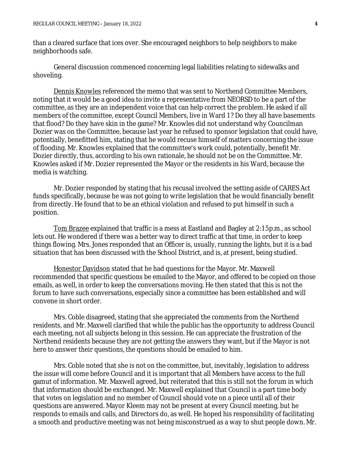than a cleared surface that ices over. She encouraged neighbors to help neighbors to make neighborhoods safe.

General discussion commenced concerning legal liabilities relating to sidewalks and shoveling.

Dennis Knowles referenced the memo that was sent to Northend Committee Members, noting that it would be a good idea to invite a representative from NEORSD to be a part of the committee, as they are an independent voice that can help correct the problem. He asked if all members of the committee, except Council Members, live in Ward 1? Do they all have basements that flood? Do they have skin in the game? Mr. Knowles did not understand why Councilman Dozier was on the Committee, because last year he refused to sponsor legislation that could have, potentially, benefitted him, stating that he would recuse himself of matters concerning the issue of flooding. Mr. Knowles explained that the committee's work could, potentially, benefit Mr. Dozier directly, thus, according to his own rationale, he should not be on the Committee. Mr. Knowles asked if Mr. Dozier represented the Mayor or the residents in his Ward, because the media is watching.

Mr. Dozier responded by stating that his recusal involved the setting aside of CARES Act funds specifically, because he was not going to write legislation that he would financially benefit from directly. He found that to be an ethical violation and refused to put himself in such a position.

Tom Brazee explained that traffic is a mess at Eastland and Bagley at 2:15p.m., as school lets out. He wondered if there was a better way to direct traffic at that time, in order to keep things flowing. Mrs. Jones responded that an Officer is, usually, running the lights, but it is a bad situation that has been discussed with the School District, and is, at present, being studied.

Honestor Davidson stated that he had questions for the Mayor. Mr. Maxwell recommended that specific questions be emailed to the Mayor, and offered to be copied on those emails, as well, in order to keep the conversations moving. He then stated that this is not the forum to have such conversations, especially since a committee has been established and will convene in short order.

Mrs. Coble disagreed, stating that she appreciated the comments from the Northend residents, and Mr. Maxwell clarified that while the public has the opportunity to address Council each meeting, not all subjects belong in this session. He can appreciate the frustration of the Northend residents because they are not getting the answers they want, but if the Mayor is not here to answer their questions, the questions should be emailed to him.

Mrs. Coble noted that she is not on the committee, but, inevitably, legislation to address the issue will come before Council and it is important that all Members have access to the full gamut of information. Mr. Maxwell agreed, but reiterated that this is still not the forum in which that information should be exchanged. Mr. Maxwell explained that Council is a part time body that votes on legislation and no member of Council should vote on a piece until all of their questions are answered. Mayor Kleem may not be present at every Council meeting, but he responds to emails and calls, and Directors do, as well. He hoped his responsibility of facilitating a smooth and productive meeting was not being misconstrued as a way to shut people down. Mr.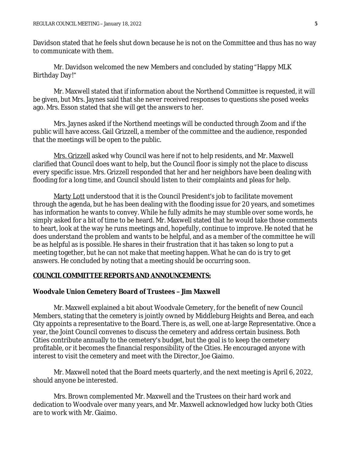Davidson stated that he feels shut down because he is not on the Committee and thus has no way to communicate with them.

Mr. Davidson welcomed the new Members and concluded by stating "Happy MLK Birthday Day!"

Mr. Maxwell stated that if information about the Northend Committee is requested, it will be given, but Mrs. Jaynes said that she never received responses to questions she posed weeks ago. Mrs. Esson stated that she will get the answers to her.

Mrs. Jaynes asked if the Northend meetings will be conducted through Zoom and if the public will have access. Gail Grizzell, a member of the committee and the audience, responded that the meetings will be open to the public.

Mrs. Grizzell asked why Council was here if not to help residents, and Mr. Maxwell clarified that Council does want to help, but the Council floor is simply not the place to discuss every specific issue. Mrs. Grizzell responded that her and her neighbors have been dealing with flooding for a long time, and Council should listen to their complaints and pleas for help.

Marty Lott understood that it is the Council President's job to facilitate movement through the agenda, but he has been dealing with the flooding issue for 20 years, and sometimes has information he wants to convey. While he fully admits he may stumble over some words, he simply asked for a bit of time to be heard. Mr. Maxwell stated that he would take those comments to heart, look at the way he runs meetings and, hopefully, continue to improve. He noted that he does understand the problem and wants to be helpful, and as a member of the committee he will be as helpful as is possible. He shares in their frustration that it has taken so long to put a meeting together, but he can not make that meeting happen. What he can do is try to get answers. He concluded by noting that a meeting should be occurring soon.

# **COUNCIL COMMITTEE REPORTS AND ANNOUNCEMENTS:**

# **Woodvale Union Cemetery Board of Trustees – Jim Maxwell**

Mr. Maxwell explained a bit about Woodvale Cemetery, for the benefit of new Council Members, stating that the cemetery is jointly owned by Middleburg Heights and Berea, and each City appoints a representative to the Board. There is, as well, one at-large Representative. Once a year, the Joint Council convenes to discuss the cemetery and address certain business. Both Cities contribute annually to the cemetery's budget, but the goal is to keep the cemetery profitable, or it becomes the financial responsibility of the Cities. He encouraged anyone with interest to visit the cemetery and meet with the Director, Joe Giaimo.

Mr. Maxwell noted that the Board meets quarterly, and the next meeting is April 6, 2022, should anyone be interested.

Mrs. Brown complemented Mr. Maxwell and the Trustees on their hard work and dedication to Woodvale over many years, and Mr. Maxwell acknowledged how lucky both Cities are to work with Mr. Giaimo.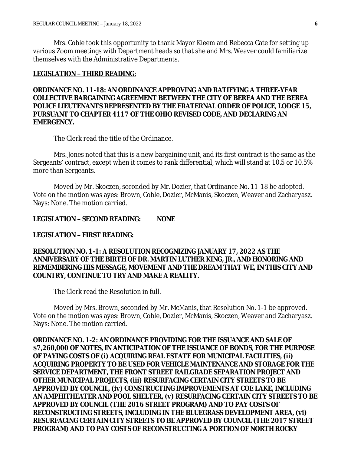Mrs. Coble took this opportunity to thank Mayor Kleem and Rebecca Cate for setting up various Zoom meetings with Department heads so that she and Mrs. Weaver could familiarize themselves with the Administrative Departments.

### **LEGISLATION – THIRD READING:**

# **ORDINANCE NO. 11-18: AN ORDINANCE APPROVING AND RATIFYING A THREE-YEAR COLLECTIVE BARGAINING AGREEMENT BETWEEN THE CITY OF BEREA AND THE BEREA POLICE LIEUTENANTS REPRESENTED BY THE FRATERNAL ORDER OF POLICE, LODGE 15, PURSUANT TO CHAPTER 4117 OF THE OHIO REVISED CODE, AND DECLARING AN EMERGENCY.**

The Clerk read the title of the Ordinance.

Mrs. Jones noted that this is a new bargaining unit, and its first contract is the same as the Sergeants' contract, except when it comes to rank differential, which will stand at 10.5 or 10.5% more than Sergeants.

Moved by Mr. Skoczen, seconded by Mr. Dozier, that Ordinance No. 11-18 be adopted. Vote on the motion was ayes: Brown, Coble, Dozier, McManis, Skoczen, Weaver and Zacharyasz. Nays: None. The motion carried.

### **LEGISLATION – SECOND READING: NONE**

#### **LEGISLATION – FIRST READING:**

# **RESOLUTION NO. 1-1: A RESOLUTION RECOGNIZING JANUARY 17, 2022 AS THE ANNIVERSARY OF THE BIRTH OF DR. MARTIN LUTHER KING, JR., AND HONORING AND REMEMBERING HIS MESSAGE, MOVEMENT AND THE DREAM THAT WE, IN THIS CITY AND COUNTRY, CONTINUE TO TRY AND MAKE A REALITY.**

The Clerk read the Resolution in full.

Moved by Mrs. Brown, seconded by Mr. McManis, that Resolution No. 1-1 be approved. Vote on the motion was ayes: Brown, Coble, Dozier, McManis, Skoczen, Weaver and Zacharyasz. Nays: None. The motion carried.

**ORDINANCE NO. 1-2: AN ORDINANCE PROVIDING FOR THE ISSUANCE AND SALE OF \$7,260,000 OF NOTES, IN ANTICIPATION OF THE ISSUANCE OF BONDS, FOR THE PURPOSE OF PAYING COSTS OF (i) ACQUIRING REAL ESTATE FOR MUNICIPAL FACILITIES, (ii) ACQUIRING PROPERTY TO BE USED FOR VEHICLE MAINTENANCE AND STORAGE FOR THE SERVICE DEPARTMENT, THE FRONT STREET RAILGRADE SEPARATION PROJECT AND OTHER MUNICIPAL PROJECTS, (iii) RESURFACING CERTAIN CITY STREETS TO BE APPROVED BY COUNCIL, (iv) CONSTRUCTING IMPROVEMENTS AT COE LAKE, INCLUDING AN AMPHITHEATER AND POOL SHELTER, (v) RESURFACING CERTAIN CITY STREETS TO BE APPROVED BY COUNCIL (THE 2016 STREET PROGRAM) AND TO PAY COSTS OF RECONSTRUCTING STREETS, INCLUDING IN THE BLUEGRASS DEVELOPMENT AREA, (vi) RESURFACING CERTAIN CITY STREETS TO BE APPROVED BY COUNCIL (THE 2017 STREET PROGRAM) AND TO PAY COSTS OF RECONSTRUCTING A PORTION OF NORTH ROCKY**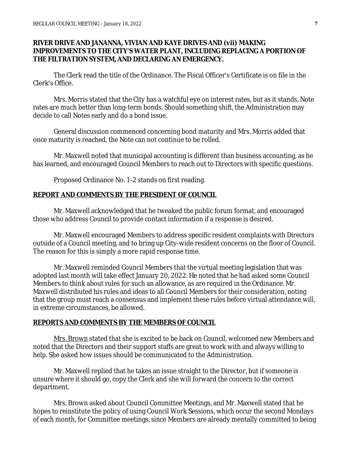### **RIVER DRIVE AND JANANNA, VIVIAN AND KAYE DRIVES AND (vii) MAKING IMPROVEMENTS TO THE CITY'S WATER PLANT, INCLUDING REPLACING A PORTION OF THE FILTRATION SYSTEM, AND DECLARING AN EMERGENCY.**

The Clerk read the title of the Ordinance. The Fiscal Officer's Certificate is on file in the Clerk's Office.

Mrs. Morris stated that the City has a watchful eye on interest rates, but as it stands, Note rates are much better than long-term bonds. Should something shift, the Administration may decide to call Notes early and do a bond issue.

General discussion commenced concerning bond maturity and Mrs. Morris added that once maturity is reached, the Note can not continue to be rolled.

Mr. Maxwell noted that municipal accounting is different than business accounting, as he has learned, and encouraged Council Members to reach out to Directors with specific questions.

Proposed Ordinance No. 1-2 stands on first reading.

### **REPORT AND COMMENTS BY THE PRESIDENT OF COUNCIL**

Mr. Maxwell acknowledged that he tweaked the public forum format, and encouraged those who address Council to provide contact information if a response is desired.

Mr. Maxwell encouraged Members to address specific resident complaints with Directors outside of a Council meeting, and to bring up City-wide resident concerns on the floor of Council. The reason for this is simply a more rapid response time.

Mr. Maxwell reminded Council Members that the virtual meeting legislation that was adopted last month will take effect January 20, 2022. He noted that he had asked some Council Members to think about rules for such an allowance, as are required in the Ordinance. Mr. Maxwell distributed his rules and ideas to all Council Members for their consideration, noting that the group must reach a consensus and implement these rules before virtual attendance will, in extreme circumstances, be allowed.

#### **REPORTS AND COMMENTS BY THE MEMBERS OF COUNCIL**

Mrs. Brown stated that she is excited to be back on Council, welcomed new Members and noted that the Directors and their support staffs are great to work with and always willing to help. She asked how issues should be communicated to the Administration.

Mr. Maxwell replied that he takes an issue straight to the Director, but if someone is unsure where it should go, copy the Clerk and she will forward the concern to the correct department.

Mrs. Brown asked about Council Committee Meetings, and Mr. Maxwell stated that he hopes to reinstitute the policy of using Council Work Sessions, which occur the second Mondays of each month, for Committee meetings, since Members are already mentally committed to being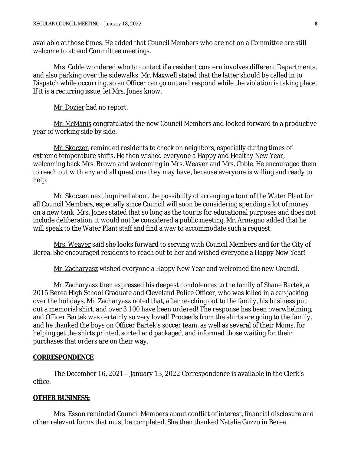available at those times. He added that Council Members who are not on a Committee are still welcome to attend Committee meetings.

Mrs. Coble wondered who to contact if a resident concern involves different Departments, and also parking over the sidewalks. Mr. Maxwell stated that the latter should be called in to Dispatch while occurring, so an Officer can go out and respond while the violation is taking place. If it is a recurring issue, let Mrs. Jones know.

Mr. Dozier had no report.

Mr. McManis congratulated the new Council Members and looked forward to a productive year of working side by side.

Mr. Skoczen reminded residents to check on neighbors, especially during times of extreme temperature shifts. He then wished everyone a Happy and Healthy New Year, welcoming back Mrs. Brown and welcoming in Mrs. Weaver and Mrs. Coble. He encouraged them to reach out with any and all questions they may have, because everyone is willing and ready to help.

Mr. Skoczen next inquired about the possibility of arranging a tour of the Water Plant for all Council Members, especially since Council will soon be considering spending a lot of money on a new tank. Mrs. Jones stated that so long as the tour is for educational purposes and does not include deliberation, it would not be considered a public meeting. Mr. Armagno added that he will speak to the Water Plant staff and find a way to accommodate such a request.

Mrs. Weaver said she looks forward to serving with Council Members and for the City of Berea. She encouraged residents to reach out to her and wished everyone a Happy New Year!

Mr. Zacharyasz wished everyone a Happy New Year and welcomed the new Council.

Mr. Zacharyasz then expressed his deepest condolences to the family of Shane Bartek, a 2015 Berea High School Graduate and Cleveland Police Officer, who was killed in a car-jacking over the holidays. Mr. Zacharyasz noted that, after reaching out to the family, his business put out a memorial shirt, and over 3,100 have been ordered! The response has been overwhelming, and Officer Bartek was certainly so very loved! Proceeds from the shirts are going to the family, and he thanked the boys on Officer Bartek's soccer team, as well as several of their Moms, for helping get the shirts printed, sorted and packaged, and informed those waiting for their purchases that orders are on their way.

#### **CORRESPONDENCE**

The December 16, 2021 – January 13, 2022 Correspondence is available in the Clerk's office.

### **OTHER BUSINESS:**

Mrs. Esson reminded Council Members about conflict of interest, financial disclosure and other relevant forms that must be completed. She then thanked Natalie Guzzo in Berea